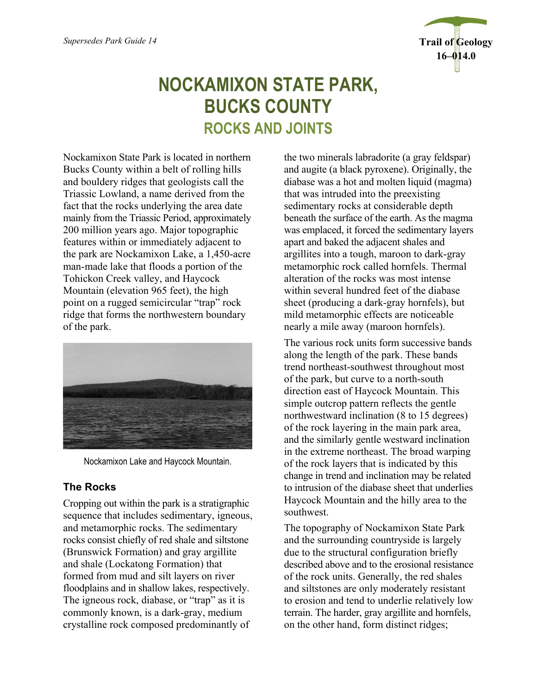

# **NOCKAMIXON STATE PARK, BUCKS COUNTY ROCKS AND JOINTS**

Nockamixon State Park is located in northern Bucks County within a belt of rolling hills and bouldery ridges that geologists call the Triassic Lowland, a name derived from the fact that the rocks underlying the area date mainly from the Triassic Period, approximately 200 million years ago. Major topographic features within or immediately adjacent to the park are Nockamixon Lake, a 1,450-acre man-made lake that floods a portion of the Tohickon Creek valley, and Haycock Mountain (elevation 965 feet), the high point on a rugged semicircular "trap" rock ridge that forms the northwestern boundary of the park.



Nockamixon Lake and Haycock Mountain.

## **The Rocks**

Cropping out within the park is a stratigraphic sequence that includes sedimentary, igneous, and metamorphic rocks. The sedimentary rocks consist chiefly of red shale and siltstone (Brunswick Formation) and gray argillite and shale (Lockatong Formation) that formed from mud and silt layers on river floodplains and in shallow lakes, respectively. The igneous rock, diabase, or "trap" as it is commonly known, is a dark-gray, medium crystalline rock composed predominantly of

the two minerals labradorite (a gray feldspar) and augite (a black pyroxene). Originally, the diabase was a hot and molten liquid (magma) that was intruded into the preexisting sedimentary rocks at considerable depth beneath the surface of the earth. As the magma was emplaced, it forced the sedimentary layers apart and baked the adjacent shales and argillites into a tough, maroon to dark-gray metamorphic rock called hornfels. Thermal alteration of the rocks was most intense within several hundred feet of the diabase sheet (producing a dark-gray hornfels), but mild metamorphic effects are noticeable nearly a mile away (maroon hornfels).

The various rock units form successive bands along the length of the park. These bands trend northeast-southwest throughout most of the park, but curve to a north-south direction east of Haycock Mountain. This simple outcrop pattern reflects the gentle northwestward inclination (8 to 15 degrees) of the rock layering in the main park area, and the similarly gentle westward inclination in the extreme northeast. The broad warping of the rock layers that is indicated by this change in trend and inclination may be related to intrusion of the diabase sheet that underlies Haycock Mountain and the hilly area to the southwest.

The topography of Nockamixon State Park and the surrounding countryside is largely due to the structural configuration briefly described above and to the erosional resistance of the rock units. Generally, the red shales and siltstones are only moderately resistant to erosion and tend to underlie relatively low terrain. The harder, gray argillite and hornfels, on the other hand, form distinct ridges;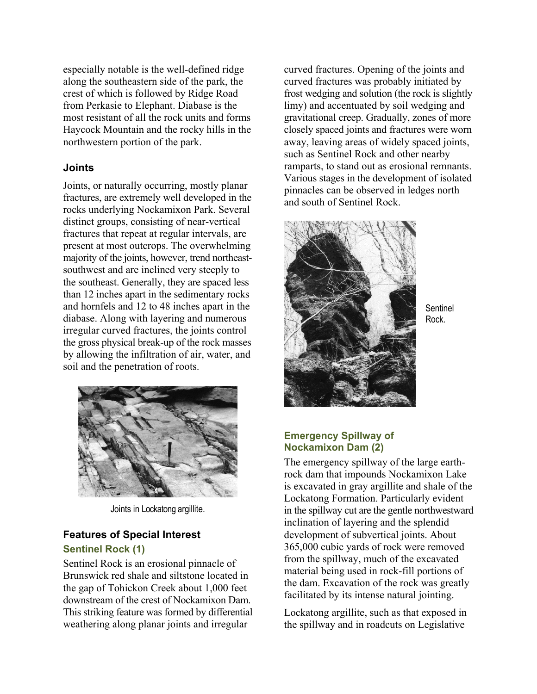especially notable is the well-defined ridge along the southeastern side of the park, the crest of which is followed by Ridge Road from Perkasie to Elephant. Diabase is the most resistant of all the rock units and forms Haycock Mountain and the rocky hills in the northwestern portion of the park.

#### **Joints**

Joints, or naturally occurring, mostly planar fractures, are extremely well developed in the rocks underlying Nockamixon Park. Several distinct groups, consisting of near-vertical fractures that repeat at regular intervals, are present at most outcrops. The overwhelming majority of the joints, however, trend northeastsouthwest and are inclined very steeply to the southeast. Generally, they are spaced less than 12 inches apart in the sedimentary rocks and hornfels and 12 to 48 inches apart in the diabase. Along with layering and numerous irregular curved fractures, the joints control the gross physical break-up of the rock masses by allowing the infiltration of air, water, and soil and the penetration of roots.



Joints in Lockatong argillite.

### **Features of Special Interest Sentinel Rock (1)**

Sentinel Rock is an erosional pinnacle of Brunswick red shale and siltstone located in the gap of Tohickon Creek about 1,000 feet downstream of the crest of Nockamixon Dam. This striking feature was formed by differential weathering along planar joints and irregular

curved fractures. Opening of the joints and curved fractures was probably initiated by frost wedging and solution (the rock is slightly limy) and accentuated by soil wedging and gravitational creep. Gradually, zones of more closely spaced joints and fractures were worn away, leaving areas of widely spaced joints, such as Sentinel Rock and other nearby ramparts, to stand out as erosional remnants. Various stages in the development of isolated pinnacles can be observed in ledges north and south of Sentinel Rock.



**Sentinel** Rock.

#### **Emergency Spillway of Nockamixon Dam (2)**

The emergency spillway of the large earthrock dam that impounds Nockamixon Lake is excavated in gray argillite and shale of the Lockatong Formation. Particularly evident in the spillway cut are the gentle northwestward inclination of layering and the splendid development of subvertical joints. About 365,000 cubic yards of rock were removed from the spillway, much of the excavated material being used in rock-fill portions of the dam. Excavation of the rock was greatly facilitated by its intense natural jointing.

Lockatong argillite, such as that exposed in the spillway and in roadcuts on Legislative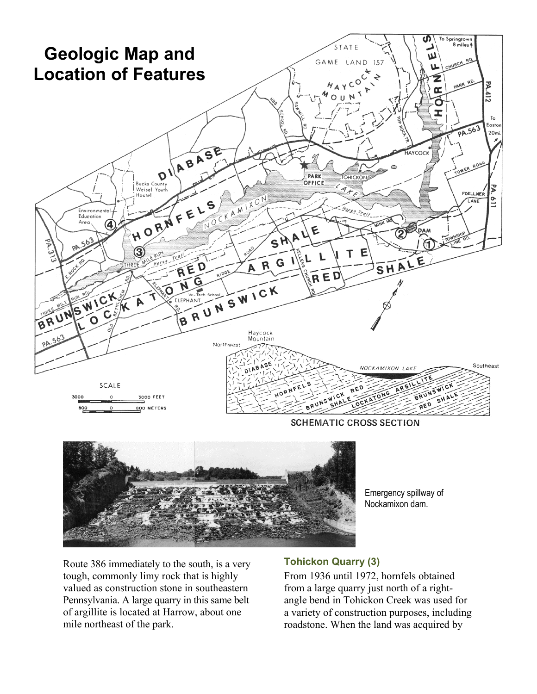

**SCHEMATIC CROSS SECTION** 



Emergency spillway of Nockamixon dam.

Route 386 immediately to the south, is a very tough, commonly limy rock that is highly valued as construction stone in southeastern Pennsylvania. A large quarry in this same belt of argillite is located at Harrow, about one mile northeast of the park.

#### **Tohickon Quarry (3)**

From 1936 until 1972, hornfels obtained from a large quarry just north of a rightangle bend in Tohickon Creek was used for a variety of construction purposes, including roadstone. When the land was acquired by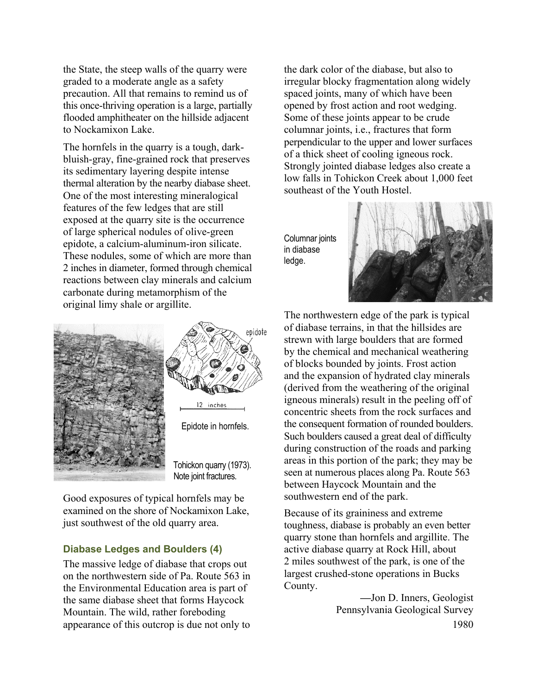the State, the steep walls of the quarry were graded to a moderate angle as a safety precaution. All that remains to remind us of this once-thriving operation is a large, partially flooded amphitheater on the hillside adjacent to Nockamixon Lake.

The hornfels in the quarry is a tough, darkbluish-gray, fine-grained rock that preserves its sedimentary layering despite intense thermal alteration by the nearby diabase sheet. One of the most interesting mineralogical features of the few ledges that are still exposed at the quarry site is the occurrence of large spherical nodules of olive-green epidote, a calcium-aluminum-iron silicate. These nodules, some of which are more than 2 inches in diameter, formed through chemical reactions between clay minerals and calcium carbonate during metamorphism of the original limy shale or argillite.



Good exposures of typical hornfels may be examined on the shore of Nockamixon Lake, just southwest of the old quarry area.

#### **Diabase Ledges and Boulders (4)**

The massive ledge of diabase that crops out on the northwestern side of Pa. Route 563 in the Environmental Education area is part of the same diabase sheet that forms Haycock Mountain. The wild, rather foreboding appearance of this outcrop is due not only to

the dark color of the diabase, but also to irregular blocky fragmentation along widely spaced joints, many of which have been opened by frost action and root wedging. Some of these joints appear to be crude columnar joints, i.e., fractures that form perpendicular to the upper and lower surfaces of a thick sheet of cooling igneous rock. Strongly jointed diabase ledges also create a low falls in Tohickon Creek about 1,000 feet southeast of the Youth Hostel.

Columnar joints in diabase ledge.



The northwestern edge of the park is typical of diabase terrains, in that the hillsides are strewn with large boulders that are formed by the chemical and mechanical weathering of blocks bounded by joints. Frost action and the expansion of hydrated clay minerals (derived from the weathering of the original igneous minerals) result in the peeling off of concentric sheets from the rock surfaces and the consequent formation of rounded boulders. Such boulders caused a great deal of difficulty during construction of the roads and parking areas in this portion of the park; they may be seen at numerous places along Pa. Route 563 between Haycock Mountain and the southwestern end of the park.

Because of its graininess and extreme toughness, diabase is probably an even better quarry stone than hornfels and argillite. The active diabase quarry at Rock Hill, about 2 miles southwest of the park, is one of the largest crushed-stone operations in Bucks County.

> **—**Jon D. Inners, Geologist Pennsylvania Geological Survey 1980